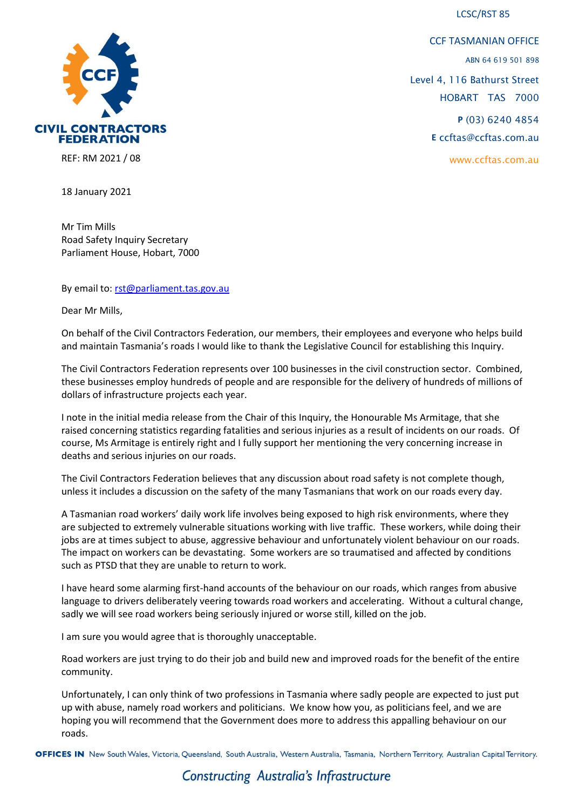LCSC/RST 85



CCF TASMANIAN OFFICE ABN 64 619 501 898 Level 4, 116 Bathurst Street HOBART TAS 7000 **P** (03) 6240 4854 **E** ccftas@ccftas.com.au www.ccftas.com.au

REF: RM 2021 / 08

18 January 2021

Mr Tim Mills Road Safety Inquiry Secretary Parliament House, Hobart, 7000

By email to: [rst@parliament.tas.gov.au](mailto:rst@parliament.tas.gov.au)

Dear Mr Mills,

On behalf of the Civil Contractors Federation, our members, their employees and everyone who helps build and maintain Tasmania's roads I would like to thank the Legislative Council for establishing this Inquiry.

The Civil Contractors Federation represents over 100 businesses in the civil construction sector. Combined, these businesses employ hundreds of people and are responsible for the delivery of hundreds of millions of dollars of infrastructure projects each year.

I note in the initial media release from the Chair of this Inquiry, the Honourable Ms Armitage, that she raised concerning statistics regarding fatalities and serious injuries as a result of incidents on our roads. Of course, Ms Armitage is entirely right and I fully support her mentioning the very concerning increase in deaths and serious injuries on our roads.

The Civil Contractors Federation believes that any discussion about road safety is not complete though, unless it includes a discussion on the safety of the many Tasmanians that work on our roads every day.

A Tasmanian road workers' daily work life involves being exposed to high risk environments, where they are subjected to extremely vulnerable situations working with live traffic. These workers, while doing their jobs are at times subject to abuse, aggressive behaviour and unfortunately violent behaviour on our roads. The impact on workers can be devastating. Some workers are so traumatised and affected by conditions such as PTSD that they are unable to return to work.

I have heard some alarming first-hand accounts of the behaviour on our roads, which ranges from abusive language to drivers deliberately veering towards road workers and accelerating. Without a cultural change, sadly we will see road workers being seriously injured or worse still, killed on the job.

I am sure you would agree that is thoroughly unacceptable.

Road workers are just trying to do their job and build new and improved roads for the benefit of the entire community.

Unfortunately, I can only think of two professions in Tasmania where sadly people are expected to just put up with abuse, namely road workers and politicians. We know how you, as politicians feel, and we are hoping you will recommend that the Government does more to address this appalling behaviour on our roads.

OFFICES IN New South Wales, Victoria, Queensland, South Australia, Western Australia, Tasmania, Northern Territory, Australian Capital Territory.

**Constructing Australia's Infrastructure**